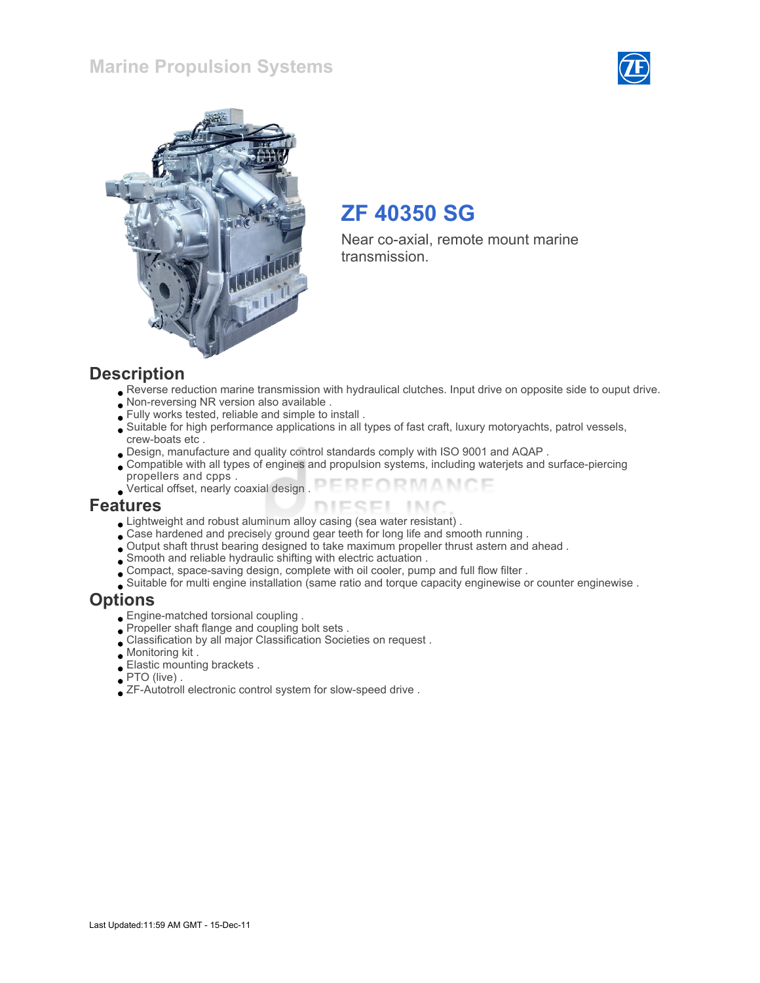### Marine Propulsion Systems





## ZF 40350 SG

Near co-axial, remote mount marine transmission.

### **Description**

- Reverse reduction marine transmission with hydraulical clutches. Input drive on opposite side to ouput drive.
- Non-reversing NR version also available .
- Fully works tested, reliable and simple to install .
- Suitable for high performance applications in all types of fast craft, luxury motoryachts, patrol vessels, crew-boats etc .
- Design, manufacture and quality control standards comply with ISO 9001 and AQAP .
- Compatible with all types of engines and propulsion systems, including waterjets and surface-piercing propellers and cpps .
- FORMANCE Vertical offset, nearly coaxial design .

#### Features

- Lightweight and robust aluminum alloy casing (sea water resistant) .
- Case hardened and precisely ground gear teeth for long life and smooth running .
- Output shaft thrust bearing designed to take maximum propeller thrust astern and ahead .
- Smooth and reliable hydraulic shifting with electric actuation .
- Compact, space-saving design, complete with oil cooler, pump and full flow filter .
- Suitable for multi engine installation (same ratio and torque capacity enginewise or counter enginewise .

### **Options**

- Engine-matched torsional coupling .
- Propeller shaft flange and coupling bolt sets .
- Classification by all major Classification Societies on request .
- Monitoring kit .
- Elastic mounting brackets .
- PTO (live) .
- ZF-Autotroll electronic control system for slow-speed drive .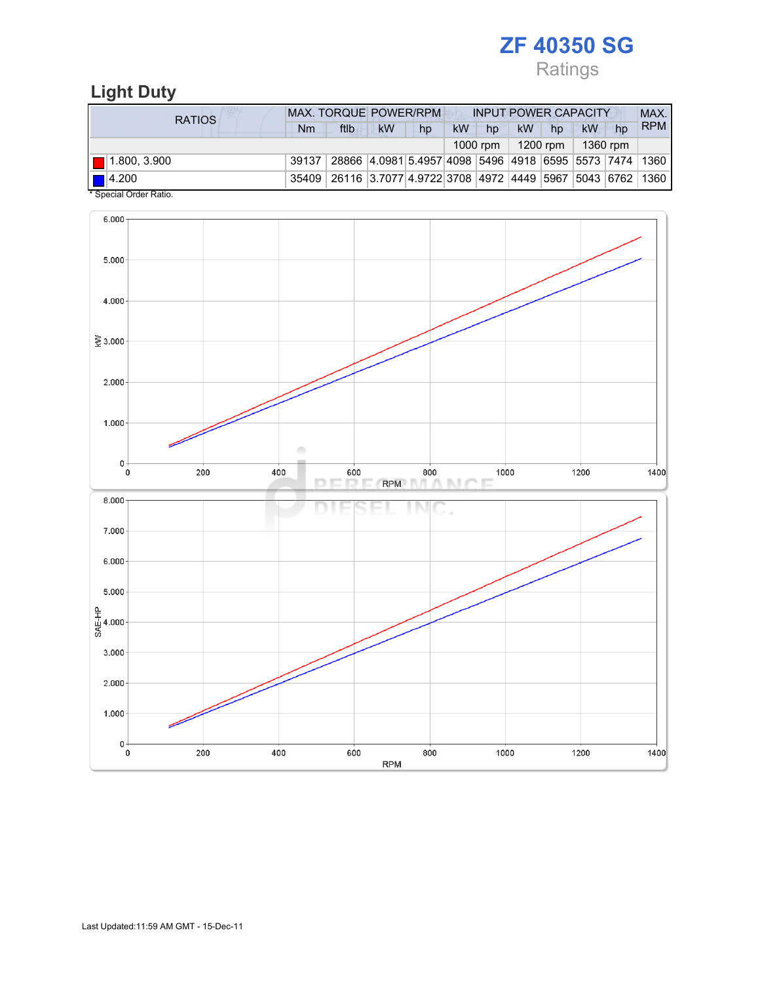# ZF 40350 SG

Ratings

## Light Duty

| RATIOS                           | <b>MAX. TORQUE POWER/RPM</b><br><b>INPUT POWER CAPACITY</b> |                                                              |           |    |           |                      |    |                           |    | MAX. |            |
|----------------------------------|-------------------------------------------------------------|--------------------------------------------------------------|-----------|----|-----------|----------------------|----|---------------------------|----|------|------------|
|                                  | Nm                                                          | ftlb                                                         | <b>kW</b> | hp | <b>kW</b> | hp                   | kW | hp                        | kW | hp   | <b>RPM</b> |
|                                  |                                                             |                                                              |           |    |           | 1000 rpm $\parallel$ |    | $1200$ rpm $\pm$ 1360 rpm |    |      |            |
| $\blacksquare$ 1.800, 3.900      |                                                             | 39137 28866 4.0981 5.4957 4098 5496 4918 6595 5573 7474 1360 |           |    |           |                      |    |                           |    |      |            |
| $\blacksquare$ 4.200<br>$\cdots$ |                                                             | 35409 26116 3.7077 4.9722 3708 4972 4449 5967 5043 6762 1360 |           |    |           |                      |    |                           |    |      |            |

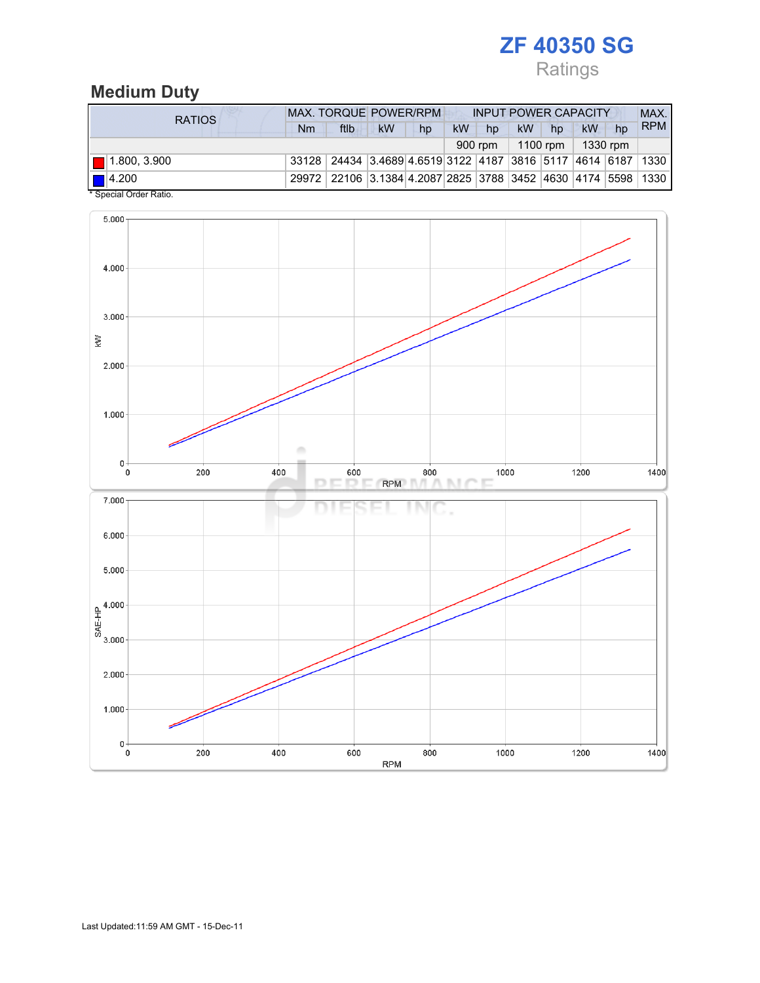# ZF 40350 SG

Ratings

## Medium Duty

| <b>RATIOS</b>                    | <b>MAX. TORQUE POWER/RPM</b> |                                                              |    |    |           | <b>INPUT POWER CAPACITY</b> |    |                       |    |    | MAX.       |
|----------------------------------|------------------------------|--------------------------------------------------------------|----|----|-----------|-----------------------------|----|-----------------------|----|----|------------|
|                                  | Nm                           | ftlb                                                         | kW | hp | <b>kW</b> | hp                          | kW | hp                    | kW | hp | <b>RPM</b> |
|                                  |                              |                                                              |    |    |           | 900 rpm                     |    | $1100$ rpm   1330 rpm |    |    |            |
| $\blacksquare$ 1.800, 3.900      |                              | 33128 24434 3.4689 4.6519 3122 4187 3816 5117 4614 6187 1330 |    |    |           |                             |    |                       |    |    |            |
| $\blacksquare$ 4.200<br>$\cdots$ |                              | 29972 22106 3.1384 4.2087 2825 3788 3452 4630 4174 5598 1330 |    |    |           |                             |    |                       |    |    |            |

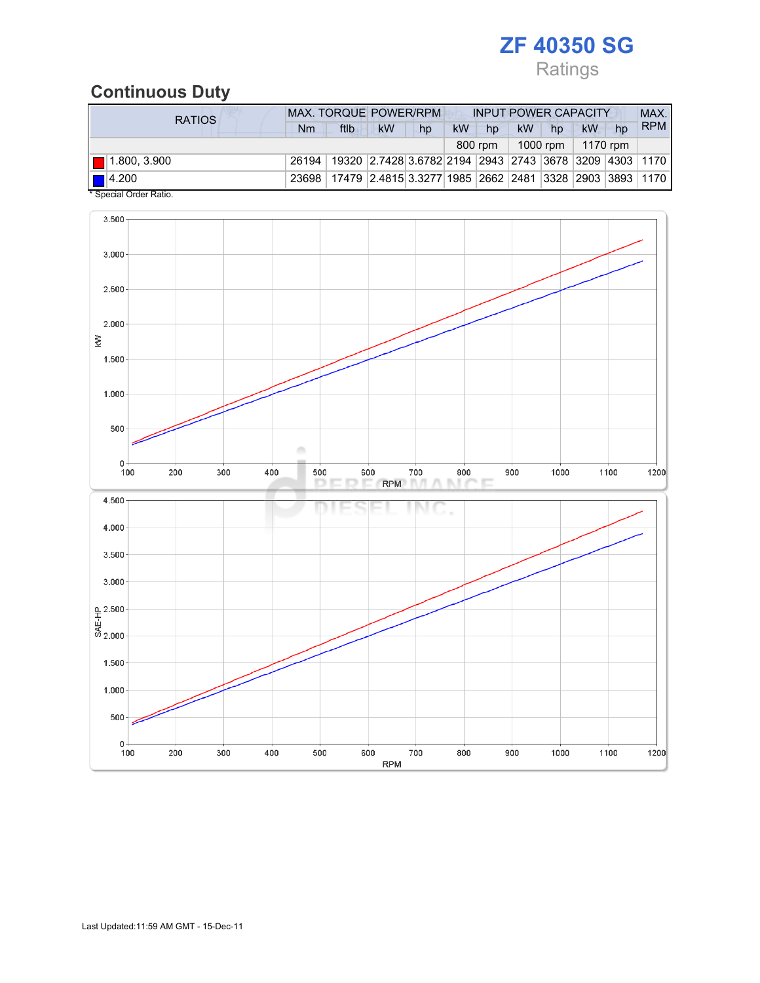## ZF 40350 SG

## Ratings

### Continuous Duty

| RATIOS                           | <b>MAX. TORQUE POWER/RPM</b><br><b>INPUT POWER CAPACITY</b> |                                                                                  |    |    |           |         |    |                       |    | MAX. |            |
|----------------------------------|-------------------------------------------------------------|----------------------------------------------------------------------------------|----|----|-----------|---------|----|-----------------------|----|------|------------|
|                                  | Nm                                                          | ftlb                                                                             | kW | hp | <b>kW</b> | hp      | kW | hp                    | kW | hp   | <b>RPM</b> |
|                                  |                                                             |                                                                                  |    |    |           | 800 rpm |    | $1000$ rpm   1170 rpm |    |      |            |
| $\blacksquare$ 1.800, 3.900      |                                                             | 26194   19320   2.7428   3.6782   2194   2943   2743   3678   3209   4303   1170 |    |    |           |         |    |                       |    |      |            |
| $\blacksquare$ 4.200<br>$\cdots$ |                                                             | 23698   17479   2.4815 3.3277   1985   2662   2481   3328   2903   3893   1170   |    |    |           |         |    |                       |    |      |            |

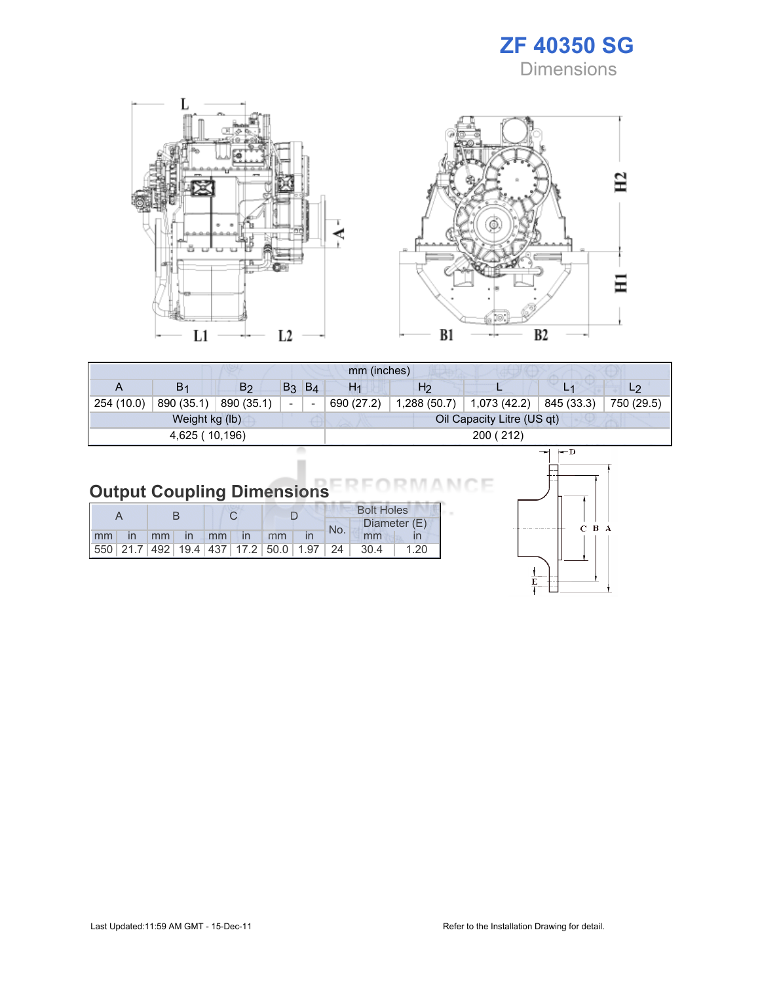





| mm (inches)    |                |                |                |                |                |                |                            |            |            |  |
|----------------|----------------|----------------|----------------|----------------|----------------|----------------|----------------------------|------------|------------|--|
| A              | B <sub>1</sub> | B <sub>2</sub> | B <sub>3</sub> | B <sub>4</sub> | H <sub>1</sub> | H <sub>2</sub> |                            | L1         | L2         |  |
| 254 (10.0)     | 890 (35.1)     | 890 (35.1)     | -              |                | 690 (27.2)     | 1,288(50.7)    | 1,073 (42.2)               | 845 (33.3) | 750 (29.5) |  |
|                | Weight kg (lb) |                |                |                |                |                | Oil Capacity Litre (US qt) |            |            |  |
| 4,625 (10,196) |                |                |                |                | 200 (212)      |                |                            |            |            |  |
|                |                |                |                |                |                |                |                            |            |            |  |

| <b>Output Coupling Dimensions</b> |  |  |  |
|-----------------------------------|--|--|--|

|    |      |    |              |                   |               |                                                         | <b>Bolt Holes</b> |      |              |  |
|----|------|----|--------------|-------------------|---------------|---------------------------------------------------------|-------------------|------|--------------|--|
|    |      |    |              |                   |               |                                                         | No.               |      | Diameter (E) |  |
| mm | - In | mm | $\mathsf{I}$ | $\blacksquare$ mm | $\mathsf{In}$ | mm                                                      |                   | mm   |              |  |
|    |      |    |              |                   |               | 550   21.7   492   19.4   437   17.2   50.0   1.97   24 |                   | 30.4 | 1.20         |  |